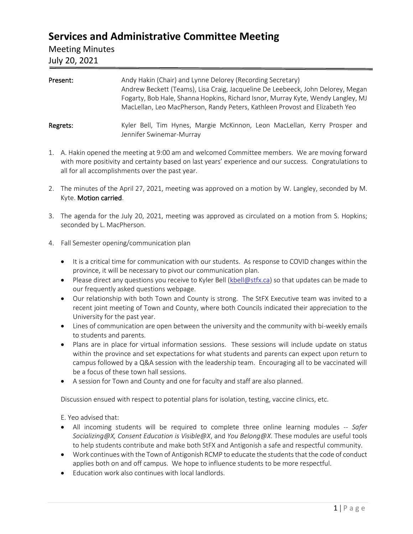## **Services and Administrative Committee Meeting**

### Meeting Minutes

### July 20, 2021

|          | Andrew Beckett (Teams), Lisa Craig, Jacqueline De Leebeeck, John Delorey, Megan<br>Fogarty, Bob Hale, Shanna Hopkins, Richard Isnor, Murray Kyte, Wendy Langley, MJ<br>MacLellan, Leo MacPherson, Randy Peters, Kathleen Provost and Elizabeth Yeo |
|----------|----------------------------------------------------------------------------------------------------------------------------------------------------------------------------------------------------------------------------------------------------|
| Regrets: | Kyler Bell, Tim Hynes, Margie McKinnon, Leon MacLellan, Kerry Prosper and<br>Jennifer Swinemar-Murray                                                                                                                                              |

- 1. A. Hakin opened the meeting at 9:00 am and welcomed Committee members. We are moving forward with more positivity and certainty based on last years' experience and our success. Congratulations to all for all accomplishments over the past year.
- 2. The minutes of the April 27, 2021, meeting was approved on a motion by W. Langley, seconded by M. Kyte. Motion carried.
- 3. The agenda for the July 20, 2021, meeting was approved as circulated on a motion from S. Hopkins; seconded by L. MacPherson.
- 4. Fall Semester opening/communication plan
	- It is a critical time for communication with our students. As response to COVID changes within the province, it will be necessary to pivot our communication plan.
	- Please direct any questions you receive to Kyler Bell [\(kbell@stfx.ca\)](mailto:kbell@stfx.ca) so that updates can be made to our frequently asked questions webpage.
	- Our relationship with both Town and County is strong. The StFX Executive team was invited to a recent joint meeting of Town and County, where both Councils indicated their appreciation to the University for the past year.
	- Lines of communication are open between the university and the community with bi-weekly emails to students and parents.
	- Plans are in place for virtual information sessions. These sessions will include update on status within the province and set expectations for what students and parents can expect upon return to campus followed by a Q&A session with the leadership team. Encouraging all to be vaccinated will be a focus of these town hall sessions.
	- A session for Town and County and one for faculty and staff are also planned.

Discussion ensued with respect to potential plans for isolation, testing, vaccine clinics, etc.

E. Yeo advised that:

- All incoming students will be required to complete three online learning modules -- *Safer Socializing@X, Consent Education is Visible@X*, and *You Belong@X*. These modules are useful tools to help students contribute and make both StFX and Antigonish a safe and respectful community.
- Work continues with the Town of Antigonish RCMP to educate the students that the code of conduct applies both on and off campus. We hope to influence students to be more respectful.
- Education work also continues with local landlords.